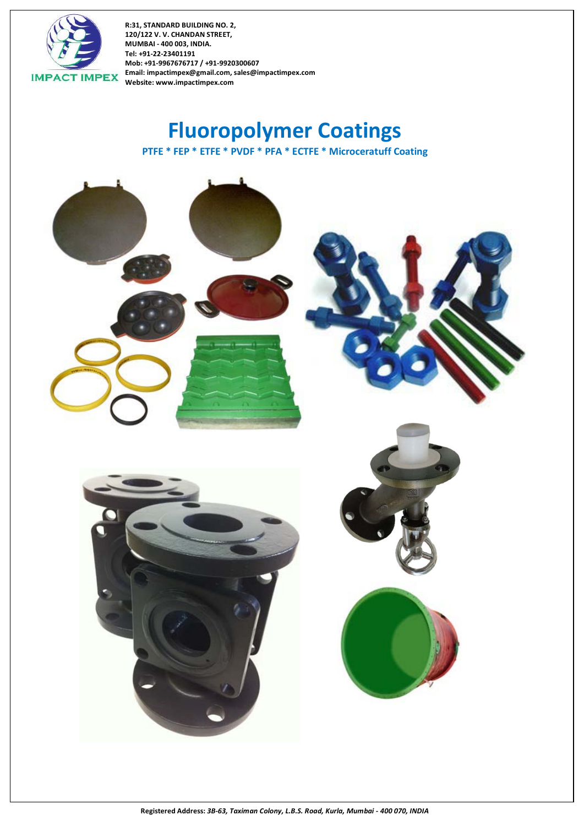

**Fluoropolymer Coatings PTFE \* FEP \* ETFE \* PVDF \* PFA \* ECTFE \* Microceratuff Coating**

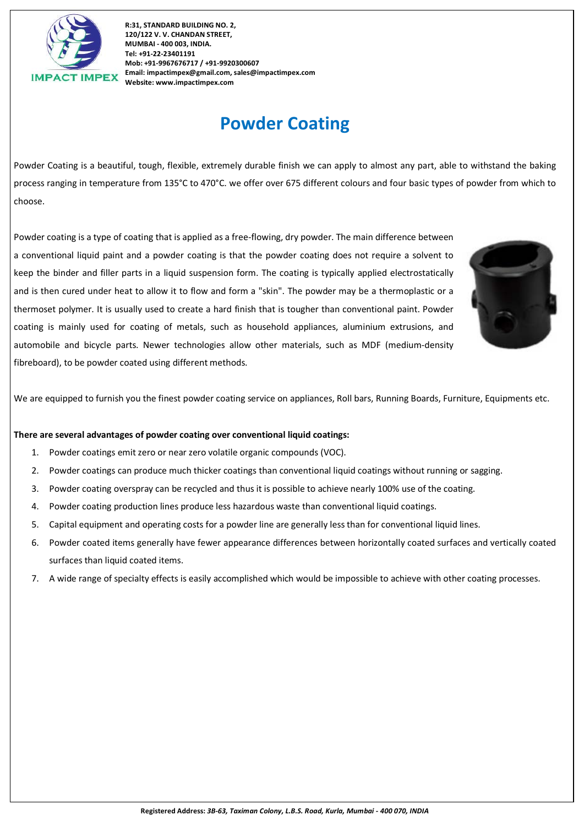

# **Powder Coating**

Powder Coating is a beautiful, tough, flexible, extremely durable finish we can apply to almost any part, able to withstand the baking process ranging in temperature from 135°C to 470°C. we offer over 675 different colours and four basic types of powder from which to choose.

Powder coating is a type of coating that is applied as a free-flowing, dry powder. The main difference between a conventional liquid paint and a powder coating is that the powder coating does not require a solvent to keep the binder and filler parts in a liquid suspension form. The coating is typically applied electrostatically and is then cured under heat to allow it to flow and form a "skin". The powder may be a thermoplastic or a thermoset polymer. It is usually used to create a hard finish that is tougher than conventional paint. Powder coating is mainly used for coating of metals, such as household appliances, aluminium extrusions, and automobile and bicycle parts. Newer technologies allow other materials, such as MDF (medium-density fibreboard), to be powder coated using different methods.



We are equipped to furnish you the finest powder coating service on appliances, Roll bars, Running Boards, Furniture, Equipments etc.

#### **There are several advantages of powder coating over conventional liquid coatings:**

- 1. Powder coatings emit zero or near zero volatile organic compounds (VOC).
- 2. Powder coatings can produce much thicker coatings than conventional liquid coatings without running or sagging.
- 3. Powder coating overspray can be recycled and thus it is possible to achieve nearly 100% use of the coating.
- 4. Powder coating production lines produce less hazardous waste than conventional liquid coatings.
- 5. Capital equipment and operating costs for a powder line are generally less than for conventional liquid lines.
- 6. Powder coated items generally have fewer appearance differences between horizontally coated surfaces and vertically coated surfaces than liquid coated items.
- 7. A wide range of specialty effects is easily accomplished which would be impossible to achieve with other coating processes.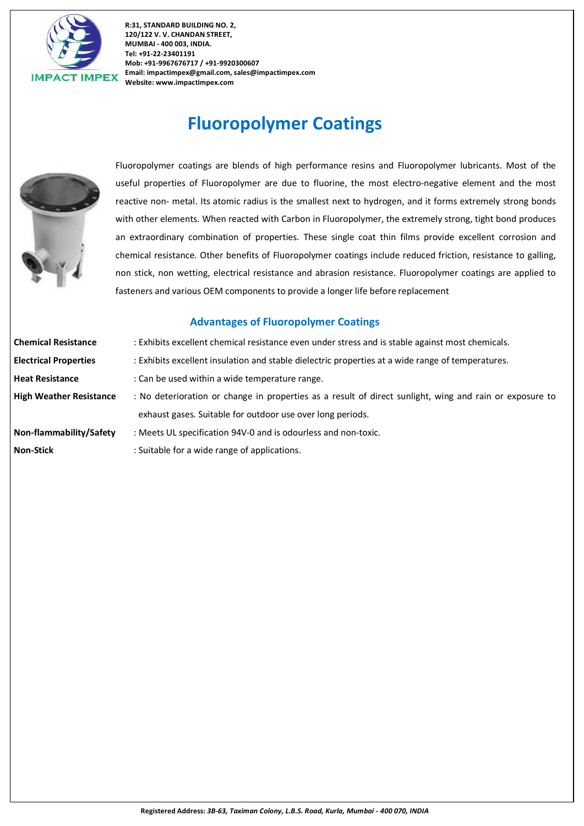

# **Fluoropolymer Coatings**



Fluoropolymer coatings are blends of high performance resins and Fluoropolymer lubricants. Most of the useful properties of Fluoropolymer are due to fluorine, the most electro-negative element and the most reactive non- metal. Its atomic radius is the smallest next to hydrogen, and it forms extremely strong bonds with other elements. When reacted with Carbon in Fluoropolymer, the extremely strong, tight bond produces an extraordinary combination of properties. These single coat thin films provide excellent corrosion and chemical resistance. Other benefits of Fluoropolymer coatings include reduced friction, resistance to galling, non stick, non wetting, electrical resistance and abrasion resistance. Fluoropolymer coatings are applied to fasteners and various OEM components to provide a longer life before replacement

### **Advantages of Fluoropolymer Coatings**

| <b>Chemical Resistance</b>     | : Exhibits excellent chemical resistance even under stress and is stable against most chemicals.        |
|--------------------------------|---------------------------------------------------------------------------------------------------------|
| <b>Electrical Properties</b>   | : Exhibits excellent insulation and stable dielectric properties at a wide range of temperatures.       |
| <b>Heat Resistance</b>         | : Can be used within a wide temperature range.                                                          |
| <b>High Weather Resistance</b> | : No deterioration or change in properties as a result of direct sunlight, wing and rain or exposure to |
|                                | exhaust gases. Suitable for outdoor use over long periods.                                              |
| Non-flammability/Safety        | : Meets UL specification 94V-0 and is odourless and non-toxic.                                          |
| <b>Non-Stick</b>               | : Suitable for a wide range of applications.                                                            |
|                                |                                                                                                         |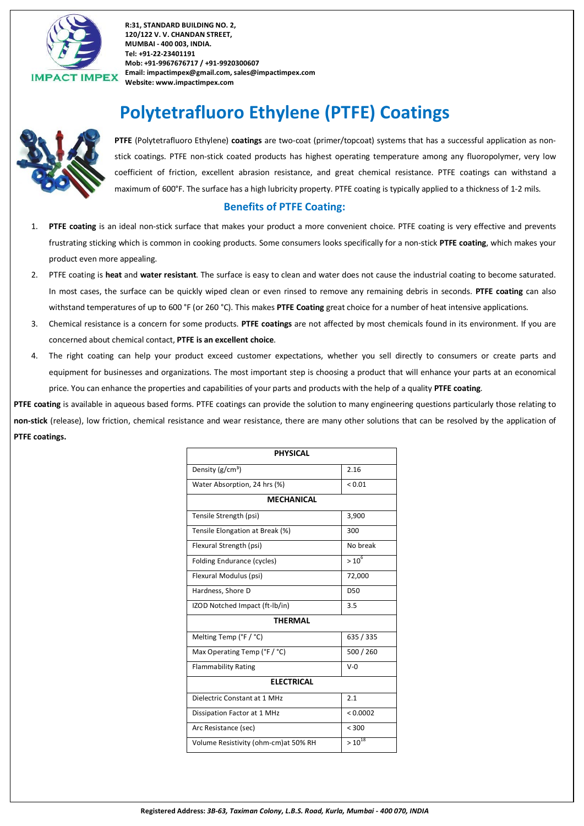

# **Polytetrafluoro Ethylene (PTFE) Coatings**



**PTFE** (Polytetrafluoro Ethylene) **coatings** are two-coat (primer/topcoat) systems that has a successful application as nonstick coatings. PTFE non-stick coated products has highest operating temperature among any fluoropolymer, very low coefficient of friction, excellent abrasion resistance, and great chemical resistance. PTFE coatings can withstand a maximum of 600°F. The surface has a high lubricity property. PTFE coating is typically applied to a thickness of 1-2 mils.

### **Benefits of PTFE Coating:**

- 1. **PTFE coating** is an ideal non-stick surface that makes your product a more convenient choice. PTFE coating is very effective and prevents frustrating sticking which is common in cooking products. Some consumers looks specifically for a non-stick **PTFE coating**, which makes your product even more appealing.
- 2. PTFE coating is **heat** and **water resistant**. The surface is easy to clean and water does not cause the industrial coating to become saturated. In most cases, the surface can be quickly wiped clean or even rinsed to remove any remaining debris in seconds. **PTFE coating** can also withstand temperatures of up to 600 °F (or 260 °C). This makes **PTFE Coating** great choice for a number of heat intensive applications.
- 3. Chemical resistance is a concern for some products. **PTFE coatings** are not affected by most chemicals found in its environment. If you are concerned about chemical contact, **PTFE is an excellent choice**.
- 4. The right coating can help your product exceed customer expectations, whether you sell directly to consumers or create parts and equipment for businesses and organizations. The most important step is choosing a product that will enhance your parts at an economical price. You can enhance the properties and capabilities of your parts and products with the help of a quality **PTFE coating**.

**PTFE coating** is available in aqueous based forms. PTFE coatings can provide the solution to many engineering questions particularly those relating to **non-stick** (release), low friction, chemical resistance and wear resistance, there are many other solutions that can be resolved by the application of **PTFE coatings.**

| <b>PHYSICAL</b>                      |                 |  |  |  |
|--------------------------------------|-----------------|--|--|--|
| Density (g/cm <sup>3</sup> )         | 2.16            |  |  |  |
| Water Absorption, 24 hrs (%)         | < 0.01          |  |  |  |
| <b>MECHANICAL</b>                    |                 |  |  |  |
| Tensile Strength (psi)               | 3,900           |  |  |  |
| Tensile Elongation at Break (%)      | 300             |  |  |  |
| Flexural Strength (psi)              | No break        |  |  |  |
| Folding Endurance (cycles)           | $> 10^6$        |  |  |  |
| Flexural Modulus (psi)               | 72,000          |  |  |  |
| Hardness, Shore D                    | D <sub>50</sub> |  |  |  |
| IZOD Notched Impact (ft-lb/in)       | 3.5             |  |  |  |
| <b>THERMAL</b>                       |                 |  |  |  |
| Melting Temp (°F / °C)               | 635 / 335       |  |  |  |
| Max Operating Temp (°F / °C)         | 500 / 260       |  |  |  |
| <b>Flammability Rating</b>           | $V - \Omega$    |  |  |  |
| <b>ELECTRICAL</b>                    |                 |  |  |  |
| Dielectric Constant at 1 MHz         | 2.1             |  |  |  |
| Dissipation Factor at 1 MHz          | < 0.0002        |  |  |  |
| Arc Resistance (sec)                 | < 300           |  |  |  |
| Volume Resistivity (ohm-cm)at 50% RH | $>10^{18}$      |  |  |  |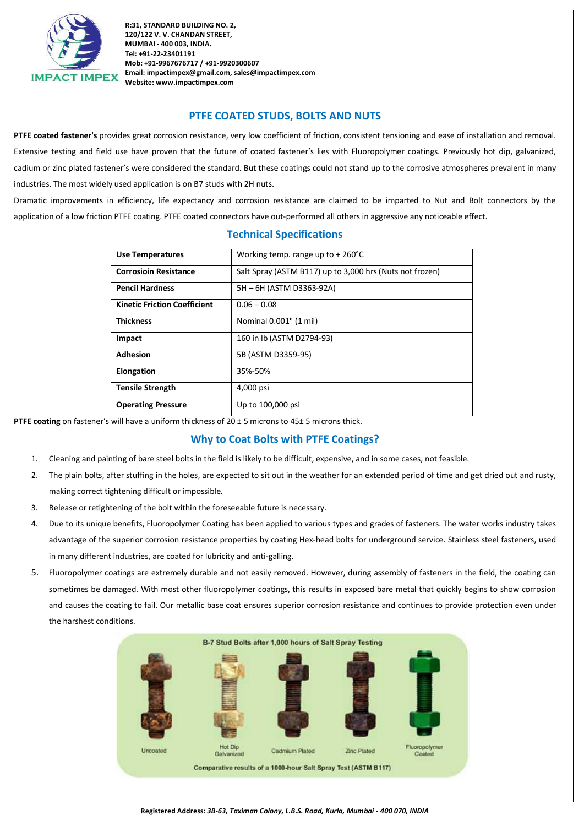

### **PTFE COATED STUDS, BOLTS AND NUTS**

**PTFE coated fastener's** provides great corrosion resistance, very low coefficient of friction, consistent tensioning and ease of installation and removal. Extensive testing and field use have proven that the future of coated fastener's lies with Fluoropolymer coatings. Previously hot dip, galvanized, cadium or zinc plated fastener's were considered the standard. But these coatings could not stand up to the corrosive atmospheres prevalent in many industries. The most widely used application is on B7 studs with 2H nuts.

Dramatic improvements in efficiency, life expectancy and corrosion resistance are claimed to be imparted to Nut and Bolt connectors by the application of a low friction PTFE coating. PTFE coated connectors have out-performed all others in aggressive any noticeable effect.

| <b>Use Temperatures</b>             | Working temp. range up to $+260^{\circ}$ C               |
|-------------------------------------|----------------------------------------------------------|
| <b>Corrosioin Resistance</b>        | Salt Spray (ASTM B117) up to 3,000 hrs (Nuts not frozen) |
| <b>Pencil Hardness</b>              | 5H - 6H (ASTM D3363-92A)                                 |
| <b>Kinetic Friction Coefficient</b> | $0.06 - 0.08$                                            |
| <b>Thickness</b>                    | Nominal 0.001" (1 mil)                                   |
| Impact                              | 160 in lb (ASTM D2794-93)                                |
| <b>Adhesion</b>                     | 5B (ASTM D3359-95)                                       |
| <b>Elongation</b>                   | 35%-50%                                                  |
| <b>Tensile Strength</b>             | 4,000 psi                                                |
| <b>Operating Pressure</b>           | Up to 100,000 psi                                        |

### **Technical Specifications**

**PTFE coating** on fastener's will have a uniform thickness of 20 ± 5 microns to 45± 5 microns thick.

### **Why to Coat Bolts with PTFE Coatings?**

- 1. Cleaning and painting of bare steel bolts in the field is likely to be difficult, expensive, and in some cases, not feasible.
- 2. The plain bolts, after stuffing in the holes, are expected to sit out in the weather for an extended period of time and get dried out and rusty, making correct tightening difficult or impossible.
- 3. Release or retightening of the bolt within the foreseeable future is necessary.
- 4. Due to its unique benefits, Fluoropolymer Coating has been applied to various types and grades of fasteners. The water works industry takes advantage of the superior corrosion resistance properties by coating Hex-head bolts for underground service. Stainless steel fasteners, used in many different industries, are coated for lubricity and anti-galling.
- 5. Fluoropolymer coatings are extremely durable and not easily removed. However, during assembly of fasteners in the field, the coating can sometimes be damaged. With most other fluoropolymer coatings, this results in exposed bare metal that quickly begins to show corrosion and causes the coating to fail. Our metallic base coat ensures superior corrosion resistance and continues to provide protection even under the harshest conditions.

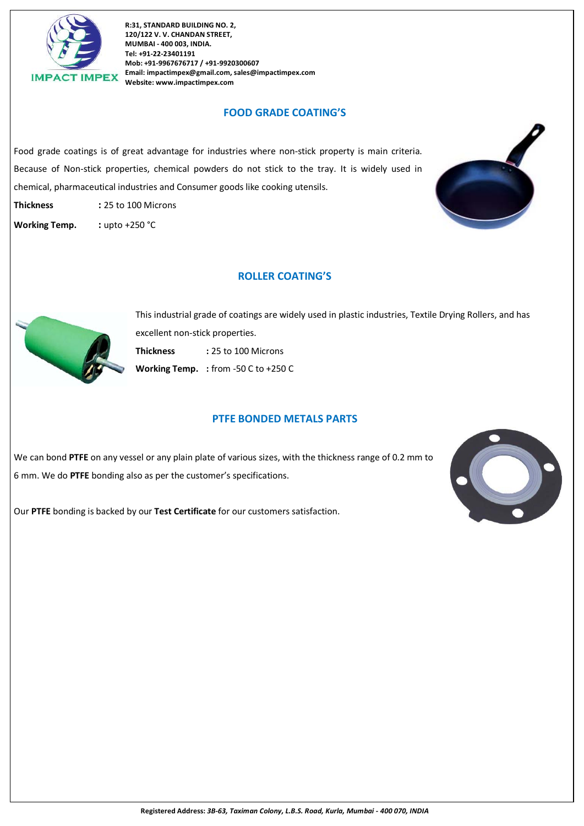

### **FOOD GRADE COATING'S**

Food grade coatings is of great advantage for industries where non-stick property is main criteria. Because of Non-stick properties, chemical powders do not stick to the tray. It is widely used in chemical, pharmaceutical industries and Consumer goods like cooking utensils.

**Thickness :** 25 to 100 Microns

**Working Temp. :** upto +250 °C



### **ROLLER COATING'S**



This industrial grade of coatings are widely used in plastic industries, Textile Drying Rollers, and has excellent non-stick properties. **Thickness :** 25 to 100 Microns **Working Temp. :** from -50 C to +250 C

### **PTFE BONDED METALS PARTS**

We can bond **PTFE** on any vessel or any plain plate of various sizes, with the thickness range of 0.2 mm to 6 mm. We do **PTFE** bonding also as per the customer's specifications.



Our **PTFE** bonding is backed by our **Test Certificate** for our customers satisfaction.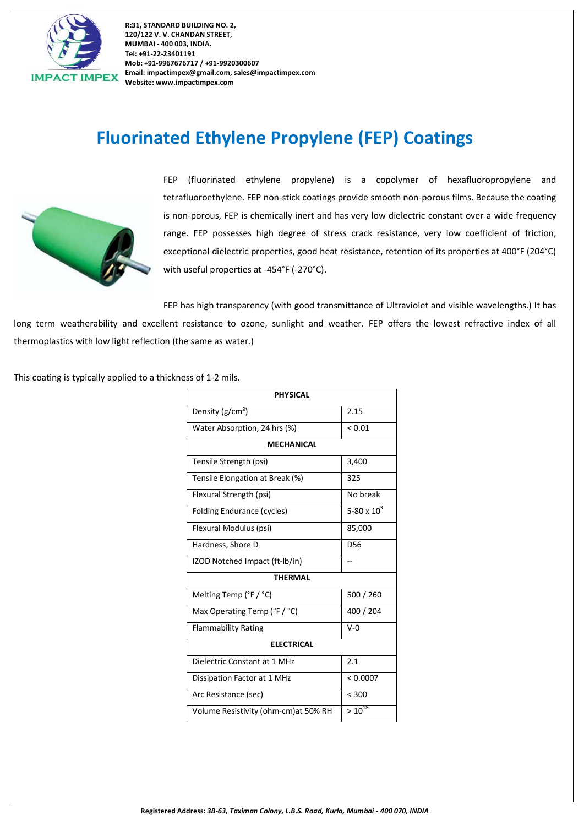

# **Fluorinated Ethylene Propylene (FEP) Coatings**



FEP (fluorinated ethylene propylene) is a copolymer of hexafluoropropylene and tetrafluoroethylene. FEP non-stick coatings provide smooth non-porous films. Because the coating is non-porous, FEP is chemically inert and has very low dielectric constant over a wide frequency range. FEP possesses high degree of stress crack resistance, very low coefficient of friction, exceptional dielectric properties, good heat resistance, retention of its properties at 400°F (204°C) with useful properties at -454°F (-270°C).

FEP has high transparency (with good transmittance of Ultraviolet and visible wavelengths.) It has long term weatherability and excellent resistance to ozone, sunlight and weather. FEP offers the lowest refractive index of all thermoplastics with low light reflection (the same as water.)

This coating is typically applied to a thickness of 1-2 mils.

| <b>PHYSICAL</b>                       |                 |  |  |  |
|---------------------------------------|-----------------|--|--|--|
| Density (g/cm <sup>3</sup> )          | 2.15            |  |  |  |
| Water Absorption, 24 hrs (%)          | ${}_{0.01}$     |  |  |  |
| <b>MECHANICAL</b>                     |                 |  |  |  |
| Tensile Strength (psi)                | 3,400           |  |  |  |
| Tensile Elongation at Break (%)       | 325             |  |  |  |
| Flexural Strength (psi)               | No break        |  |  |  |
| Folding Endurance (cycles)            | 5-80 x $10^{3}$ |  |  |  |
| Flexural Modulus (psi)                | 85,000          |  |  |  |
| Hardness, Shore D                     | D <sub>56</sub> |  |  |  |
| IZOD Notched Impact (ft-lb/in)        |                 |  |  |  |
| <b>THERMAL</b>                        |                 |  |  |  |
| Melting Temp (°F / °C)                | 500 / 260       |  |  |  |
| Max Operating Temp (°F / °C)          | 400 / 204       |  |  |  |
| <b>Flammability Rating</b>            | $V - Q$         |  |  |  |
| <b>ELECTRICAL</b>                     |                 |  |  |  |
| Dielectric Constant at 1 MHz          | 2.1             |  |  |  |
| Dissipation Factor at 1 MHz           | < 0.0007        |  |  |  |
| Arc Resistance (sec)                  | < 300           |  |  |  |
| Volume Resistivity (ohm-cm) at 50% RH | $> 10^{18}$     |  |  |  |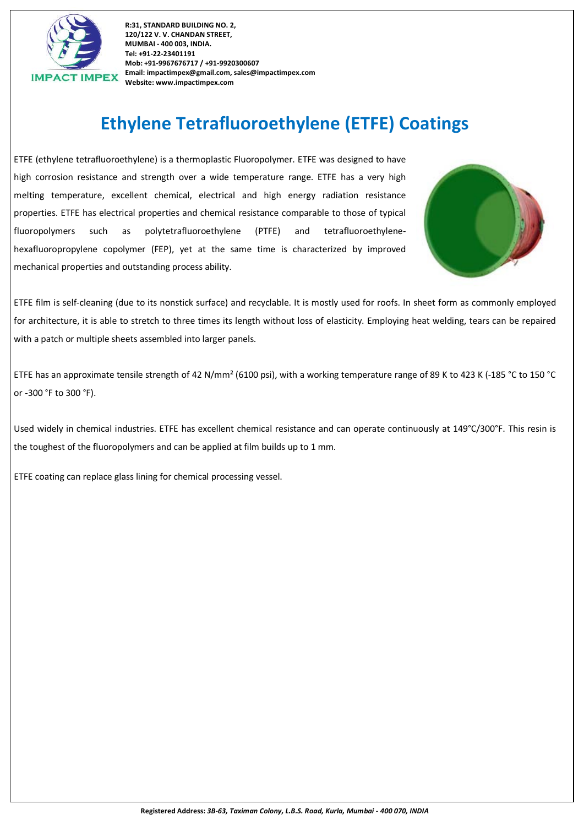

# **Ethylene Tetrafluoroethylene (ETFE) Coatings**

ETFE (ethylene tetrafluoroethylene) is a thermoplastic Fluoropolymer. ETFE was designed to have high corrosion resistance and strength over a wide temperature range. ETFE has a very high melting temperature, excellent chemical, electrical and high energy radiation resistance properties. ETFE has electrical properties and chemical resistance comparable to those of typical fluoropolymers such as polytetrafluoroethylene (PTFE) and tetrafluoroethylenehexafluoropropylene copolymer (FEP), yet at the same time is characterized by improved mechanical properties and outstanding process ability.



ETFE film is self-cleaning (due to its nonstick surface) and recyclable. It is mostly used for roofs. In sheet form as commonly employed for architecture, it is able to stretch to three times its length without loss of elasticity. Employing heat welding, tears can be repaired with a patch or multiple sheets assembled into larger panels.

ETFE has an approximate tensile strength of 42 N/mm² (6100 psi), with a working temperature range of 89 K to 423 K (-185 °C to 150 °C or -300 °F to 300 °F).

Used widely in chemical industries. ETFE has excellent chemical resistance and can operate continuously at 149°C/300°F. This resin is the toughest of the fluoropolymers and can be applied at film builds up to 1 mm.

ETFE coating can replace glass lining for chemical processing vessel.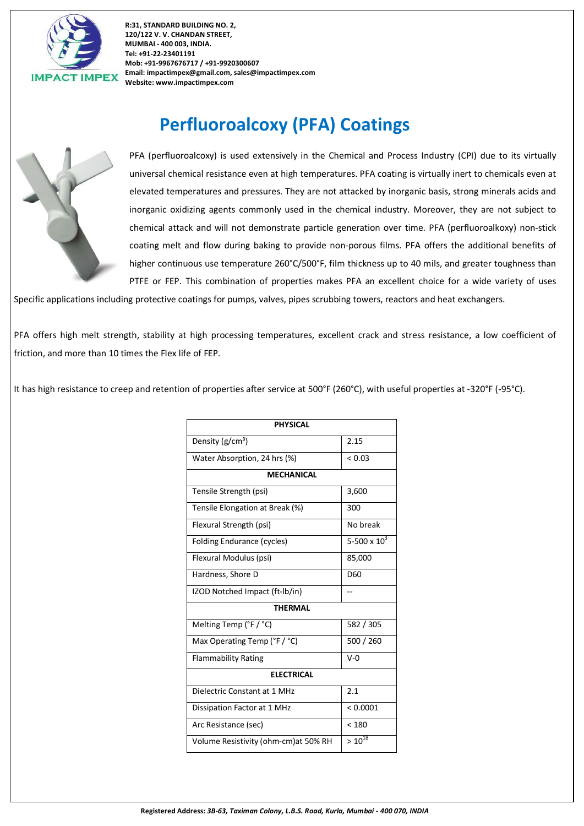

# **Perfluoroalcoxy (PFA) Coatings**



PFA (perfluoroalcoxy) is used extensively in the Chemical and Process Industry (CPI) due to its virtually universal chemical resistance even at high temperatures. PFA coating is virtually inert to chemicals even at elevated temperatures and pressures. They are not attacked by inorganic basis, strong minerals acids and inorganic oxidizing agents commonly used in the chemical industry. Moreover, they are not subject to chemical attack and will not demonstrate particle generation over time. PFA (perfluoroalkoxy) non-stick coating melt and flow during baking to provide non-porous films. PFA offers the additional benefits of higher continuous use temperature 260°C/500°F, film thickness up to 40 mils, and greater toughness than PTFE or FEP. This combination of properties makes PFA an excellent choice for a wide variety of uses

Specific applications including protective coatings for pumps, valves, pipes scrubbing towers, reactors and heat exchangers.

PFA offers high melt strength, stability at high processing temperatures, excellent crack and stress resistance, a low coefficient of friction, and more than 10 times the Flex life of FEP.

It has high resistance to creep and retention of properties after service at 500°F (260°C), with useful properties at -320°F (-95°C).

| Density (g/cm <sup>3</sup> )<br>Water Absorption, 24 hrs (%) | 2.15<br>< 0.03 |  |  |  |
|--------------------------------------------------------------|----------------|--|--|--|
|                                                              |                |  |  |  |
|                                                              |                |  |  |  |
| <b>MECHANICAL</b>                                            |                |  |  |  |
| Tensile Strength (psi)                                       | 3,600          |  |  |  |
| Tensile Elongation at Break (%)                              | 300            |  |  |  |
| Flexural Strength (psi)                                      | No break       |  |  |  |
| Folding Endurance (cycles)                                   | 5-500 x $10^3$ |  |  |  |
| Flexural Modulus (psi)                                       | 85,000         |  |  |  |
| Hardness, Shore D                                            | D60            |  |  |  |
| IZOD Notched Impact (ft-lb/in)<br>--                         |                |  |  |  |
| <b>THERMAL</b>                                               |                |  |  |  |
| Melting Temp (°F / °C)                                       | 582 / 305      |  |  |  |
| Max Operating Temp (°F / °C)                                 | 500 / 260      |  |  |  |
| <b>Flammability Rating</b>                                   | $V-0$          |  |  |  |
| <b>ELECTRICAL</b>                                            |                |  |  |  |
| Dielectric Constant at 1 MHz                                 | 2.1            |  |  |  |
| Dissipation Factor at 1 MHz                                  | < 0.0001       |  |  |  |
| Arc Resistance (sec)                                         | < 180          |  |  |  |
| Volume Resistivity (ohm-cm) at 50% RH                        | $> 10^{18}$    |  |  |  |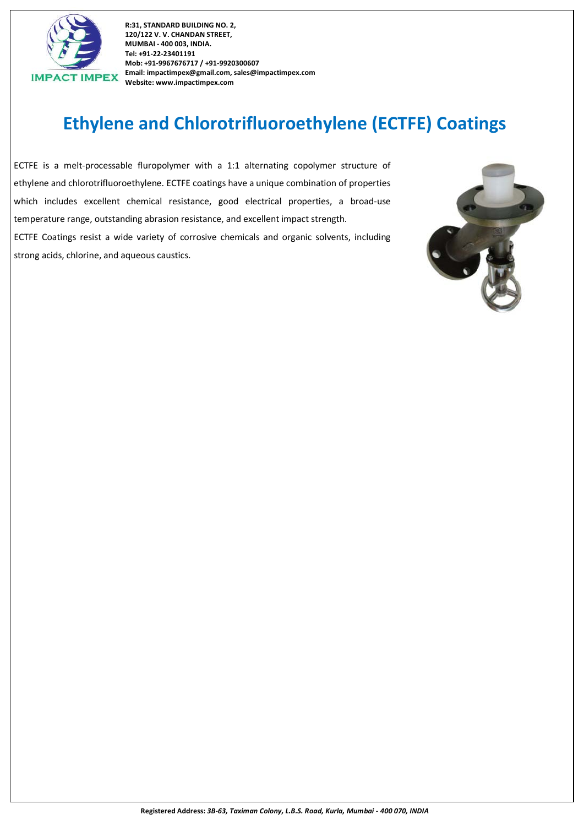

# **Ethylene and Chlorotrifluoroethylene (ECTFE) Coatings**

ECTFE is a melt-processable fluropolymer with a 1:1 alternating copolymer structure of ethylene and chlorotrifluoroethylene. ECTFE coatings have a unique combination of properties which includes excellent chemical resistance, good electrical properties, a broad-use temperature range, outstanding abrasion resistance, and excellent impact strength. ECTFE Coatings resist a wide variety of corrosive chemicals and organic solvents, including

strong acids, chlorine, and aqueous caustics.

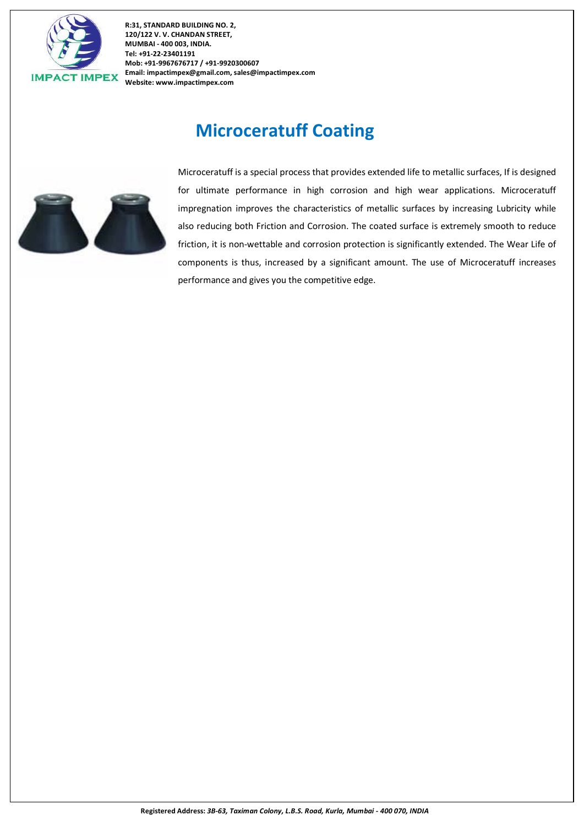

### **Microceratuff Coating**



Microceratuff is a special process that provides extended life to metallic surfaces, If is designed for ultimate performance in high corrosion and high wear applications. Microceratuff impregnation improves the characteristics of metallic surfaces by increasing Lubricity while also reducing both Friction and Corrosion. The coated surface is extremely smooth to reduce friction, it is non-wettable and corrosion protection is significantly extended. The Wear Life of components is thus, increased by a significant amount. The use of Microceratuff increases performance and gives you the competitive edge.